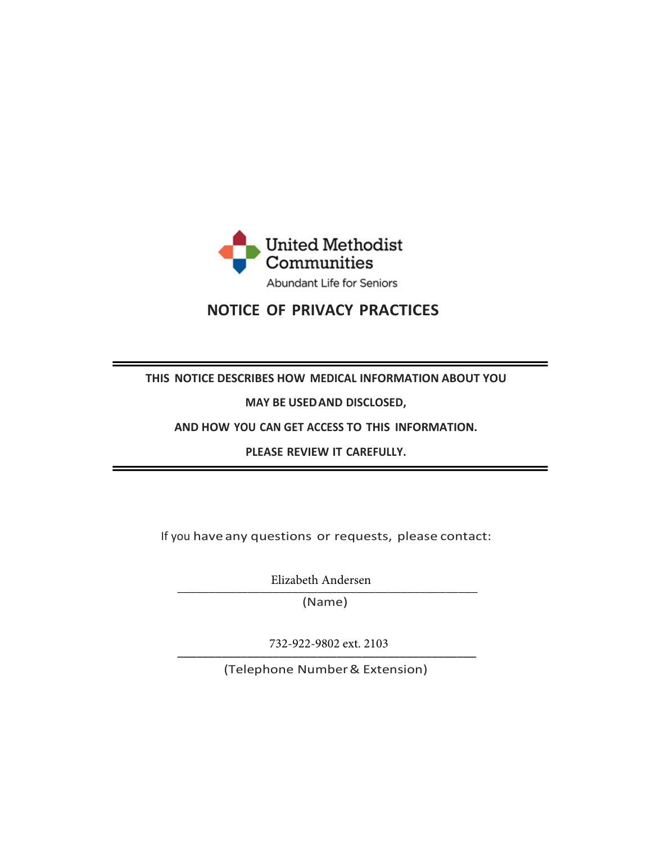

# **NOTICE OF PRIVACY PRACTICES**

# **THIS NOTICE DESCRIBES HOW MEDICAL INFORMATION ABOUT YOU**

**MAY BE USED AND DISCLOSED,** 

**AND HOW YOU CAN GET ACCESS TO THIS INFORMATION.** 

**PLEASE REVIEW IT CAREFULLY.** 

If you have any questions or requests, please contact:

Elizabeth Andersen

\_\_\_\_\_\_\_\_\_\_\_\_\_\_\_\_\_\_\_\_\_\_\_\_\_\_\_\_\_\_\_\_\_\_\_\_\_\_\_\_\_\_\_\_\_\_\_ (Name)

 732-922-9802 ext. 2103 $132-222-2002$  CXI. 2103

(Telephone Number & Extension)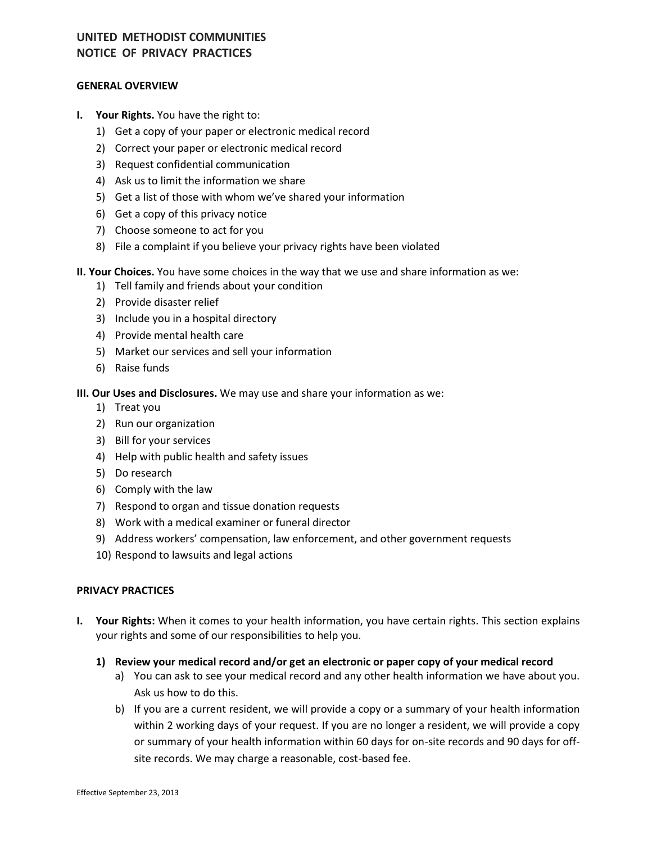#### **GENERAL OVERVIEW**

- **I. Your Rights.** You have the right to:
	- 1) Get a copy of your paper or electronic medical record
	- 2) Correct your paper or electronic medical record
	- 3) Request confidential communication
	- 4) Ask us to limit the information we share
	- 5) Get a list of those with whom we've shared your information
	- 6) Get a copy of this privacy notice
	- 7) Choose someone to act for you
	- 8) File a complaint if you believe your privacy rights have been violated

#### **II. Your Choices.** You have some choices in the way that we use and share information as we:

- 1) Tell family and friends about your condition
- 2) Provide disaster relief
- 3) Include you in a hospital directory
- 4) Provide mental health care
- 5) Market our services and sell your information
- 6) Raise funds

**III. Our Uses and Disclosures.** We may use and share your information as we:

- 1) Treat you
- 2) Run our organization
- 3) Bill for your services
- 4) Help with public health and safety issues
- 5) Do research
- 6) Comply with the law
- 7) Respond to organ and tissue donation requests
- 8) Work with a medical examiner or funeral director
- 9) Address workers' compensation, law enforcement, and other government requests
- 10) Respond to lawsuits and legal actions

#### **PRIVACY PRACTICES**

- **I. Your Rights:** When it comes to your health information, you have certain rights. This section explains your rights and some of our responsibilities to help you.
	- **1) Review your medical record and/or get an electronic or paper copy of your medical record**
		- a) You can ask to see your medical record and any other health information we have about you. Ask us how to do this.
		- b) If you are a current resident, we will provide a copy or a summary of your health information within 2 working days of your request. If you are no longer a resident, we will provide a copy or summary of your health information within 60 days for on-site records and 90 days for offsite records. We may charge a reasonable, cost-based fee.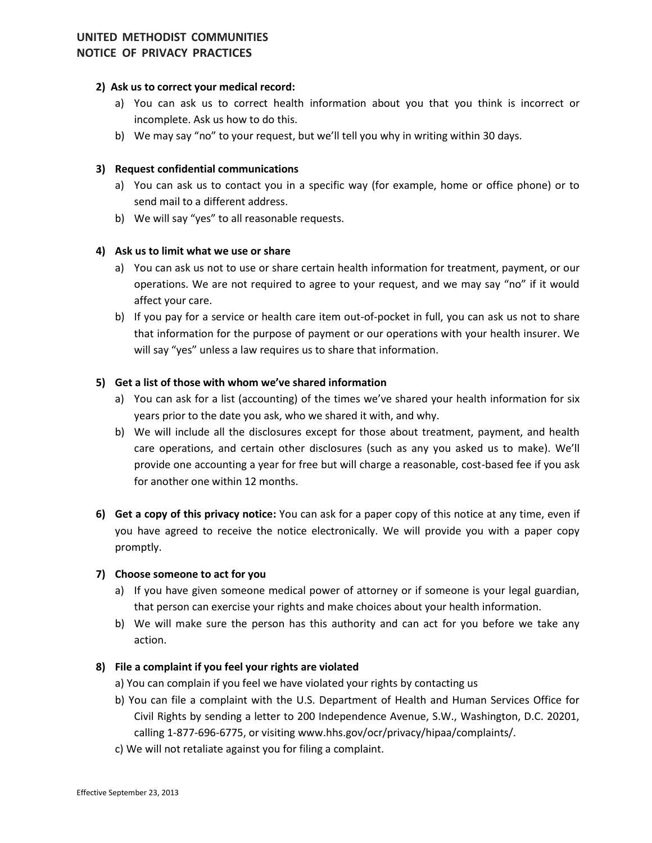## **2) Ask us to correct your medical record:**

- a) You can ask us to correct health information about you that you think is incorrect or incomplete. Ask us how to do this.
- b) We may say "no" to your request, but we'll tell you why in writing within 30 days.

## **3) Request confidential communications**

- a) You can ask us to contact you in a specific way (for example, home or office phone) or to send mail to a different address.
- b) We will say "yes" to all reasonable requests.

## **4) Ask us to limit what we use or share**

- a) You can ask us not to use or share certain health information for treatment, payment, or our operations. We are not required to agree to your request, and we may say "no" if it would affect your care.
- b) If you pay for a service or health care item out-of-pocket in full, you can ask us not to share that information for the purpose of payment or our operations with your health insurer. We will say "yes" unless a law requires us to share that information.

## **5) Get a list of those with whom we've shared information**

- a) You can ask for a list (accounting) of the times we've shared your health information for six years prior to the date you ask, who we shared it with, and why.
- b) We will include all the disclosures except for those about treatment, payment, and health care operations, and certain other disclosures (such as any you asked us to make). We'll provide one accounting a year for free but will charge a reasonable, cost-based fee if you ask for another one within 12 months.
- **6) Get a copy of this privacy notice:** You can ask for a paper copy of this notice at any time, even if you have agreed to receive the notice electronically. We will provide you with a paper copy promptly.

## **7) Choose someone to act for you**

- a) If you have given someone medical power of attorney or if someone is your legal guardian, that person can exercise your rights and make choices about your health information.
- b) We will make sure the person has this authority and can act for you before we take any action.

## **8) File a complaint if you feel your rights are violated**

- a) You can complain if you feel we have violated your rights by contacting us
- b) You can file a complaint with the U.S. Department of Health and Human Services Office for Civil Rights by sending a letter to 200 Independence Avenue, S.W., Washington, D.C. 20201, calling 1-877-696-6775, or visiting www.hhs.gov/ocr/privacy/hipaa/complaints/.
- c) We will not retaliate against you for filing a complaint.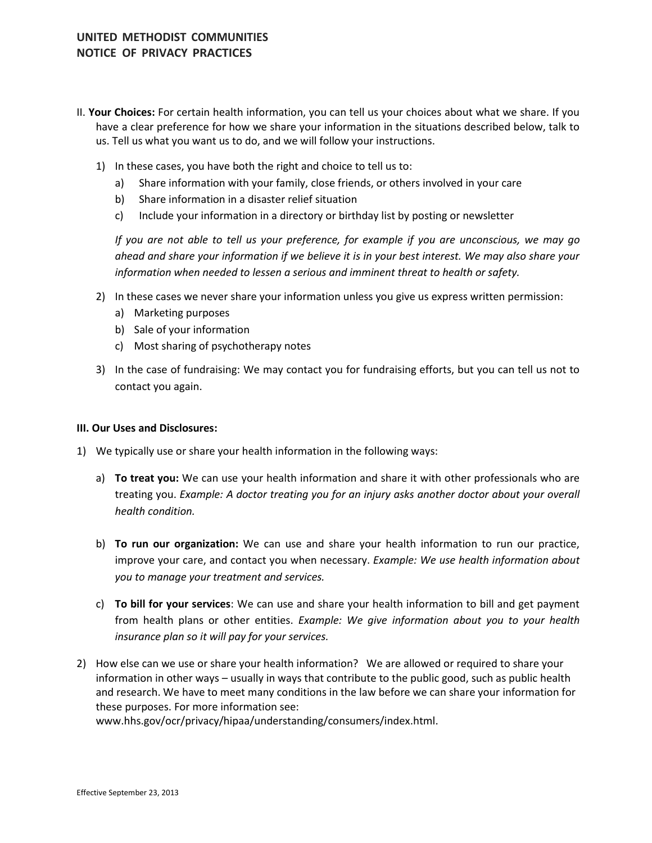- II. **Your Choices:** For certain health information, you can tell us your choices about what we share. If you have a clear preference for how we share your information in the situations described below, talk to us. Tell us what you want us to do, and we will follow your instructions.
	- 1) In these cases, you have both the right and choice to tell us to:
		- a) Share information with your family, close friends, or others involved in your care
		- b) Share information in a disaster relief situation
		- c) Include your information in a directory or birthday list by posting or newsletter

*If you are not able to tell us your preference, for example if you are unconscious, we may go ahead and share your information if we believe it is in your best interest. We may also share your information when needed to lessen a serious and imminent threat to health or safety.* 

- 2) In these cases we never share your information unless you give us express written permission:
	- a) Marketing purposes
	- b) Sale of your information
	- c) Most sharing of psychotherapy notes
- 3) In the case of fundraising: We may contact you for fundraising efforts, but you can tell us not to contact you again.

#### **III. Our Uses and Disclosures:**

- 1) We typically use or share your health information in the following ways:
	- a) **To treat you:** We can use your health information and share it with other professionals who are treating you. *Example: A doctor treating you for an injury asks another doctor about your overall health condition.*
	- b) **To run our organization:** We can use and share your health information to run our practice, improve your care, and contact you when necessary. *Example: We use health information about you to manage your treatment and services.*
	- c) **To bill for your services**: We can use and share your health information to bill and get payment from health plans or other entities. *Example: We give information about you to your health insurance plan so it will pay for your services.*
- 2) How else can we use or share your health information? We are allowed or required to share your information in other ways – usually in ways that contribute to the public good, such as public health and research. We have to meet many conditions in the law before we can share your information for these purposes. For more information see:

[www.hhs.gov/ocr/privacy/hipaa/understanding/consumers/index.html.](http://www.hhs.gov/ocr/privacy/hipaa/understanding/consumers/index.html)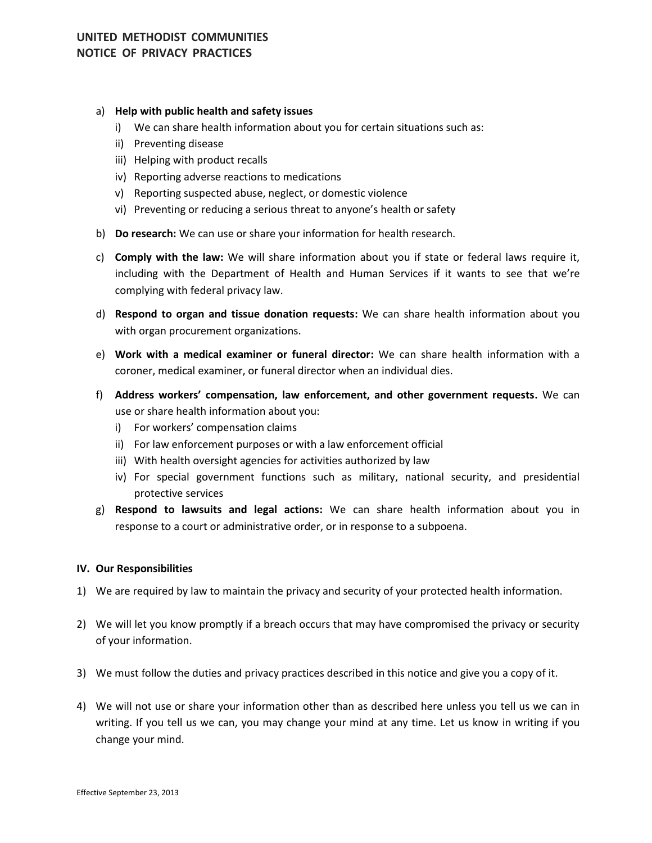#### a) **Help with public health and safety issues**

- i) We can share health information about you for certain situations such as:
- ii) Preventing disease
- iii) Helping with product recalls
- iv) Reporting adverse reactions to medications
- v) Reporting suspected abuse, neglect, or domestic violence
- vi) Preventing or reducing a serious threat to anyone's health or safety
- b) **Do research:** We can use or share your information for health research.
- c) **Comply with the law:** We will share information about you if state or federal laws require it, including with the Department of Health and Human Services if it wants to see that we're complying with federal privacy law.
- d) **Respond to organ and tissue donation requests:** We can share health information about you with organ procurement organizations.
- e) **Work with a medical examiner or funeral director:** We can share health information with a coroner, medical examiner, or funeral director when an individual dies.
- f) **Address workers' compensation, law enforcement, and other government requests.** We can use or share health information about you:
	- i) For workers' compensation claims
	- ii) For law enforcement purposes or with a law enforcement official
	- iii) With health oversight agencies for activities authorized by law
	- iv) For special government functions such as military, national security, and presidential protective services
- g) **Respond to lawsuits and legal actions:** We can share health information about you in response to a court or administrative order, or in response to a subpoena.

#### **IV. Our Responsibilities**

- 1) We are required by law to maintain the privacy and security of your protected health information.
- 2) We will let you know promptly if a breach occurs that may have compromised the privacy or security of your information.
- 3) We must follow the duties and privacy practices described in this notice and give you a copy of it.
- 4) We will not use or share your information other than as described here unless you tell us we can in writing. If you tell us we can, you may change your mind at any time. Let us know in writing if you change your mind.